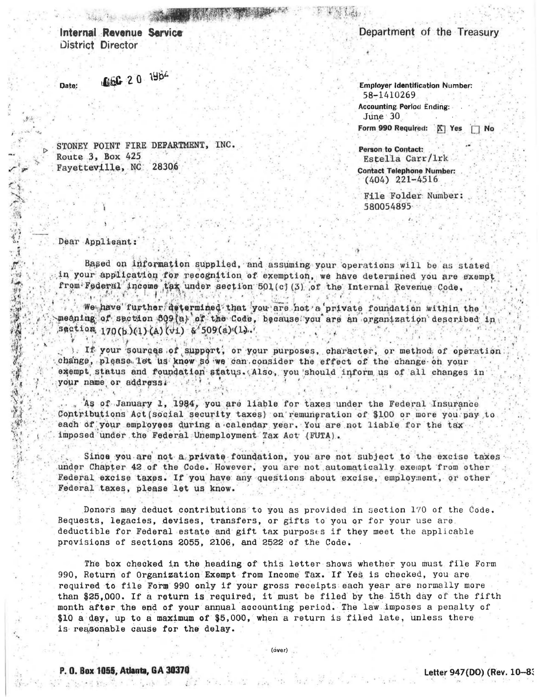Internal Revenue Service District Director

特别 医视网膜

066 20 1984 Date:

STONEY POINT FIRE DEPARTMENT, INC. Route 3, Box 425 Fayetteville, NC 28306

## Department of the Treasury

**Employer Identification Number:** 58-1410269 **Accounting Period Ending:**  $June 30$ Form 990 Required: | X | Yes | No

Person to Contact: Estella Carr/1rk

**Contact Telephone Number:**  $(404)$  221-4516

File Folder Number: 580054895

## Dear Applicant:

一个字的

 $\tilde{\pi}$ 

一

大人 !!!

Based on information supplied, and assuming your operations will be as stated in your application for recognition of exemption, we have determined you are exempt from Federal income tax under section 501(c) (3) of the Internal Revenue Code,

We have further determined that you are not a private foundation within the meaning of section 509(a) of the Code, because you are an organization described in Section, 170(b)(1)(A)(vi) & 509(a)(1).

). If your sources of support, or your purposes, character, or method of operation change, please let us know so we can consider the effect of the change on your exempt status and foundation status. Also, you should inform us of all changes in your name or address.

As of January 1, 1984, you are liable for taxes under the Federal Insurance Contributions Act (social security taxes) on remuneration of \$100 or more you pay to each of your employees during a calendar year. You are not liable for the tax imposed under the Federal Unemployment Tax Act (FUTA).

Since you are not a private foundation, you are not subject to the excise taxes under Chapter 42 of the Code. However, you are not automatically exempt from other Federal excise taxes. If you have any questions about excise, employment, or other Federal taxes, please let us know.

Donors may deduct contributions to you as provided in section 170 of the Code. Bequests, legacies, devises, transfers, or gifts to you or for your use are. deductible for Federal estate and gift tax purposes if they meet the applicable provisions of sections 2055, 2106, and 2522 of the Code.

The box checked in the heading of this letter shows whether you must file Form 990, Return of Organization Exempt from Income Tax. If Yes is checked, you are required to file Form 990 only if your gross receipts each year are normally more than \$25,000. If a return is required, it must be filed by the 15th day of the fifth month after the end of your annual accounting period. The law imposes a penalty of \$10 a day, up to a maximum of \$5,000, when a return is filed late, unless there is reasonable cause for the delay.

(over